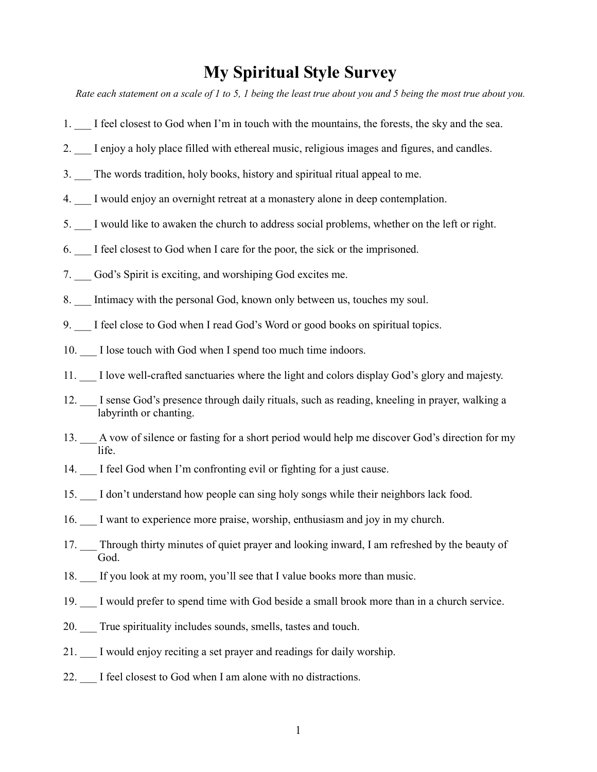## My Spiritual Style Survey

Rate each statement on a scale of 1 to 5, 1 being the least true about you and 5 being the most true about you.

- 1. \_\_\_ I feel closest to God when I'm in touch with the mountains, the forests, the sky and the sea.
- 2. I enjoy a holy place filled with ethereal music, religious images and figures, and candles.
- 3. The words tradition, holy books, history and spiritual ritual appeal to me.
- 4. I would enjoy an overnight retreat at a monastery alone in deep contemplation.
- 5. \_\_\_ I would like to awaken the church to address social problems, whether on the left or right.
- 6. \_\_\_ I feel closest to God when I care for the poor, the sick or the imprisoned.
- 7. God's Spirit is exciting, and worshiping God excites me.
- 8. Intimacy with the personal God, known only between us, touches my soul.
- 9. I feel close to God when I read God's Word or good books on spiritual topics.
- 10. I lose touch with God when I spend too much time indoors.
- 11. \_\_\_ I love well-crafted sanctuaries where the light and colors display God's glory and majesty.
- 12. I sense God's presence through daily rituals, such as reading, kneeling in prayer, walking a labyrinth or chanting.
- 13. A vow of silence or fasting for a short period would help me discover God's direction for my life.
- 14.  $\quad$  I feel God when I'm confronting evil or fighting for a just cause.
- 15. I don't understand how people can sing holy songs while their neighbors lack food.
- 16. \_\_\_ I want to experience more praise, worship, enthusiasm and joy in my church.
- 17. Through thirty minutes of quiet prayer and looking inward, I am refreshed by the beauty of God.
- 18. \_\_\_ If you look at my room, you'll see that I value books more than music.
- 19. \_\_\_ I would prefer to spend time with God beside a small brook more than in a church service.
- 20. True spirituality includes sounds, smells, tastes and touch.
- 21. I would enjoy reciting a set prayer and readings for daily worship.
- 22. I feel closest to God when I am alone with no distractions.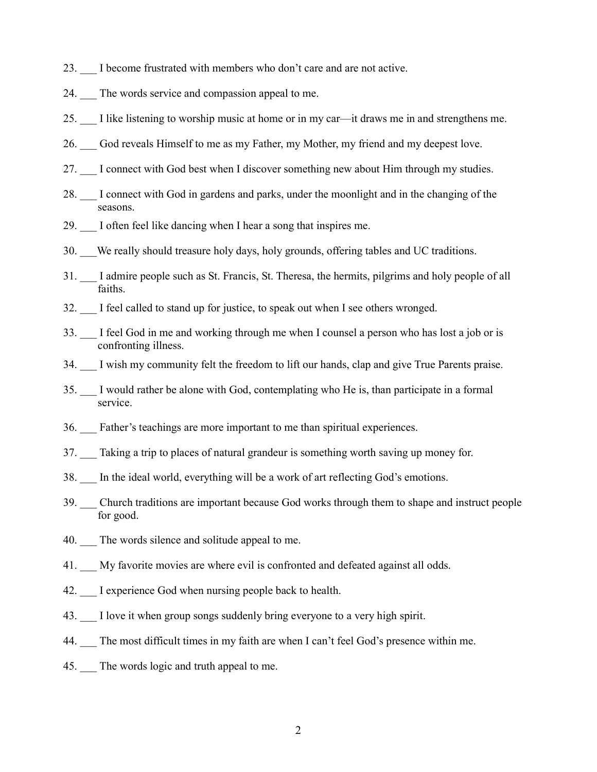- 23. I become frustrated with members who don't care and are not active.
- 24. The words service and compassion appeal to me.
- 25. \_\_\_ I like listening to worship music at home or in my car—it draws me in and strengthens me.
- 26. God reveals Himself to me as my Father, my Mother, my friend and my deepest love.
- 27. I connect with God best when I discover something new about Him through my studies.
- 28. I connect with God in gardens and parks, under the moonlight and in the changing of the seasons.
- 29. I often feel like dancing when I hear a song that inspires me.
- 30. We really should treasure holy days, holy grounds, offering tables and UC traditions.
- 31. \_\_\_ I admire people such as St. Francis, St. Theresa, the hermits, pilgrims and holy people of all faiths.
- 32. \_\_\_ I feel called to stand up for justice, to speak out when I see others wronged.
- 33. \_\_\_ I feel God in me and working through me when I counsel a person who has lost a job or is confronting illness.
- 34. I wish my community felt the freedom to lift our hands, clap and give True Parents praise.
- 35. \_\_\_ I would rather be alone with God, contemplating who He is, than participate in a formal service.
- 36. \_\_\_ Father's teachings are more important to me than spiritual experiences.
- 37. \_\_\_ Taking a trip to places of natural grandeur is something worth saving up money for.
- 38. \_\_\_ In the ideal world, everything will be a work of art reflecting God's emotions.
- 39. Church traditions are important because God works through them to shape and instruct people for good.
- 40. The words silence and solitude appeal to me.
- 41. My favorite movies are where evil is confronted and defeated against all odds.
- 42. I experience God when nursing people back to health.
- 43. I love it when group songs suddenly bring everyone to a very high spirit.
- 44. The most difficult times in my faith are when I can't feel God's presence within me.
- 45. The words logic and truth appeal to me.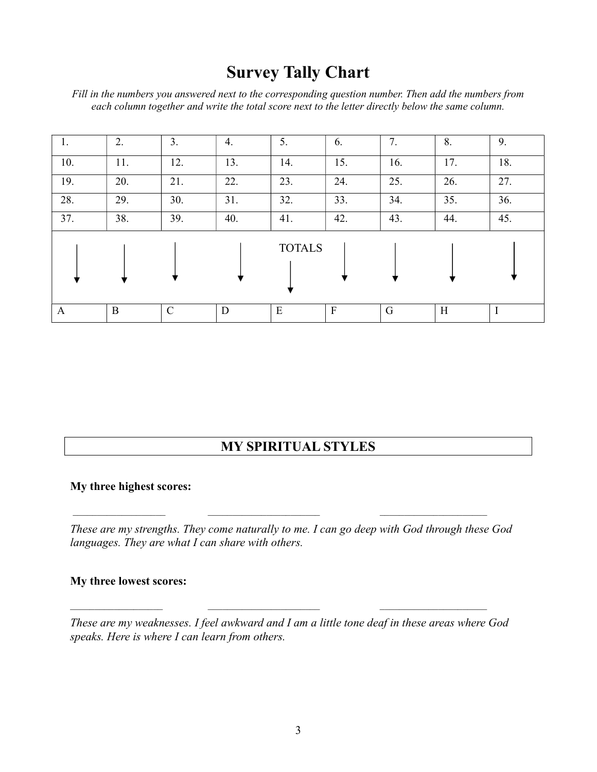## Survey Tally Chart

Fill in the numbers you answered next to the corresponding question number. Then add the numbers from each column together and write the total score next to the letter directly below the same column.

| 1.  | 2.  | 3.  | 4.  | 5.            | 6.           | 7.  | 8.  | 9.  |
|-----|-----|-----|-----|---------------|--------------|-----|-----|-----|
| 10. | 11. | 12. | 13. | 14.           | 15.          | 16. | 17. | 18. |
| 19. | 20. | 21. | 22. | 23.           | 24.          | 25. | 26. | 27. |
| 28. | 29. | 30. | 31. | 32.           | 33.          | 34. | 35. | 36. |
| 37. | 38. | 39. | 40. | 41.           | 42.          | 43. | 44. | 45. |
|     |     |     |     | <b>TOTALS</b> |              |     |     |     |
| A   | B   | C   | D   | E             | $\mathbf{F}$ | G   | H   |     |

### MY SPIRITUAL STYLES

#### My three highest scores:

These are my strengths. They come naturally to me. I can go deep with God through these God languages. They are what I can share with others.

#### My three lowest scores:

These are my weaknesses. I feel awkward and I am a little tone deaf in these areas where God speaks. Here is where I can learn from others.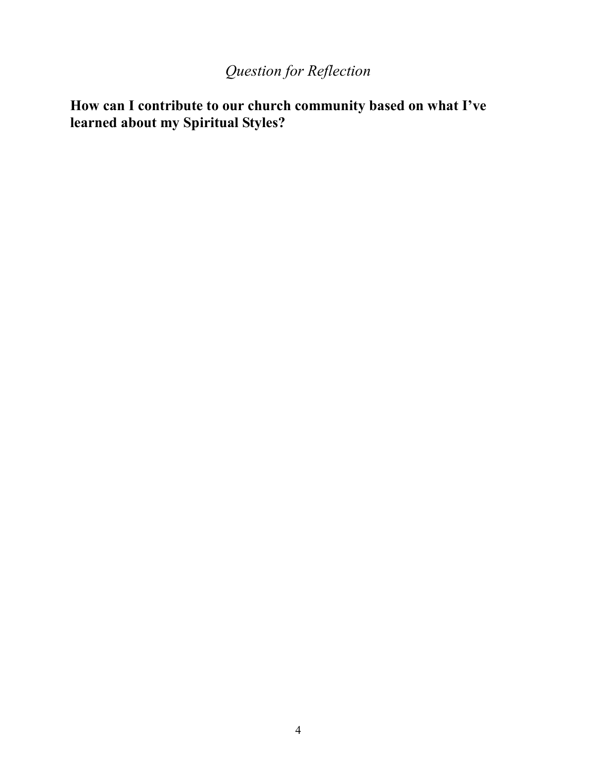# Question for Reflection

How can I contribute to our church community based on what I've learned about my Spiritual Styles?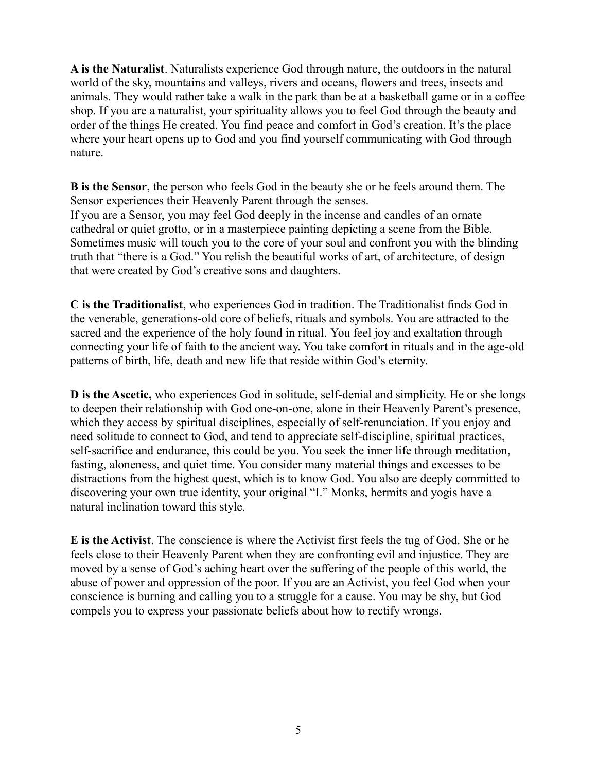A is the Naturalist. Naturalists experience God through nature, the outdoors in the natural world of the sky, mountains and valleys, rivers and oceans, flowers and trees, insects and animals. They would rather take a walk in the park than be at a basketball game or in a coffee shop. If you are a naturalist, your spirituality allows you to feel God through the beauty and order of the things He created. You find peace and comfort in God's creation. It's the place where your heart opens up to God and you find yourself communicating with God through nature.

B is the Sensor, the person who feels God in the beauty she or he feels around them. The Sensor experiences their Heavenly Parent through the senses. If you are a Sensor, you may feel God deeply in the incense and candles of an ornate cathedral or quiet grotto, or in a masterpiece painting depicting a scene from the Bible. Sometimes music will touch you to the core of your soul and confront you with the blinding truth that "there is a God." You relish the beautiful works of art, of architecture, of design that were created by God's creative sons and daughters.

C is the Traditionalist, who experiences God in tradition. The Traditionalist finds God in the venerable, generations-old core of beliefs, rituals and symbols. You are attracted to the sacred and the experience of the holy found in ritual. You feel joy and exaltation through connecting your life of faith to the ancient way. You take comfort in rituals and in the age-old patterns of birth, life, death and new life that reside within God's eternity.

D is the Ascetic, who experiences God in solitude, self-denial and simplicity. He or she longs to deepen their relationship with God one-on-one, alone in their Heavenly Parent's presence, which they access by spiritual disciplines, especially of self-renunciation. If you enjoy and need solitude to connect to God, and tend to appreciate self-discipline, spiritual practices, self-sacrifice and endurance, this could be you. You seek the inner life through meditation, fasting, aloneness, and quiet time. You consider many material things and excesses to be distractions from the highest quest, which is to know God. You also are deeply committed to discovering your own true identity, your original "I." Monks, hermits and yogis have a natural inclination toward this style.

E is the Activist. The conscience is where the Activist first feels the tug of God. She or he feels close to their Heavenly Parent when they are confronting evil and injustice. They are moved by a sense of God's aching heart over the suffering of the people of this world, the abuse of power and oppression of the poor. If you are an Activist, you feel God when your conscience is burning and calling you to a struggle for a cause. You may be shy, but God compels you to express your passionate beliefs about how to rectify wrongs.